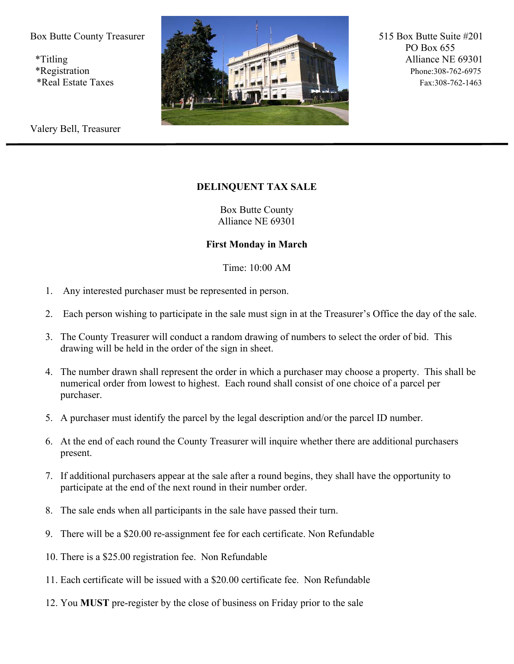

Valery Bell, Treasurer

## **DELINQUENT TAX SALE**

Box Butte County Alliance NE 69301

## **First Monday in March**

Time: 10:00 AM

- 1. Any interested purchaser must be represented in person.
- 2. Each person wishing to participate in the sale must sign in at the Treasurer's Office the day of the sale.
- 3. The County Treasurer will conduct a random drawing of numbers to select the order of bid. This drawing will be held in the order of the sign in sheet.
- 4. The number drawn shall represent the order in which a purchaser may choose a property. This shall be numerical order from lowest to highest. Each round shall consist of one choice of a parcel per purchaser.
- 5. A purchaser must identify the parcel by the legal description and/or the parcel ID number.
- 6. At the end of each round the County Treasurer will inquire whether there are additional purchasers present.
- 7. If additional purchasers appear at the sale after a round begins, they shall have the opportunity to participate at the end of the next round in their number order.
- 8. The sale ends when all participants in the sale have passed their turn.
- 9. There will be a \$20.00 re-assignment fee for each certificate. Non Refundable
- 10. There is a \$25.00 registration fee. Non Refundable
- 11. Each certificate will be issued with a \$20.00 certificate fee. Non Refundable
- 12. You **MUST** pre-register by the close of business on Friday prior to the sale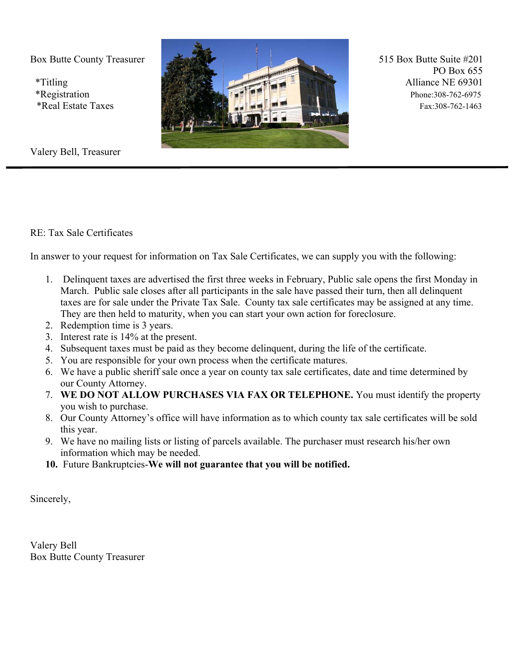Valery Bell, Treasurer



RE: Tax Sale Certificates

In answer to your request for information on Tax Sale Certificates, we can supply you with the following:

- 1. Delinquent taxes are advertised the first three weeks in February, Public sale opens the first Monday in March. Public sale closes after all participants in the sale have passed their turn, then all delinquent taxes are for sale under the Private Tax Sale. County tax sale certificates may be assigned at any time. They are then held to maturity, when you can start your own action for foreclosure.
- 2. Redemption time is 3 years.
- 3. Interest rate is 14% at the present.
- 4. Subsequent taxes must be paid as they become delinquent, during the life of the certificate.
- 5. You are responsible for your own process when the certificate matures.
- 6. We have a public sheriff sale once a year on county tax sale certificates, date and time determined by our County Attorney.
- 7. **WE DO NOT ALLOW PURCHASES VIA FAX OR TELEPHONE.** You must identify the property you wish to purchase.
- 8. Our County Attorney's office will have information as to which county tax sale certificates will be sold this year.
- 9. We have no mailing lists or listing of parcels available. The purchaser must research his/her own information which may be needed.
- **10.** Future Bankruptcies-**We will not guarantee that you will be notified.**

Sincerely,

Valery Bell Box Butte County Treasurer